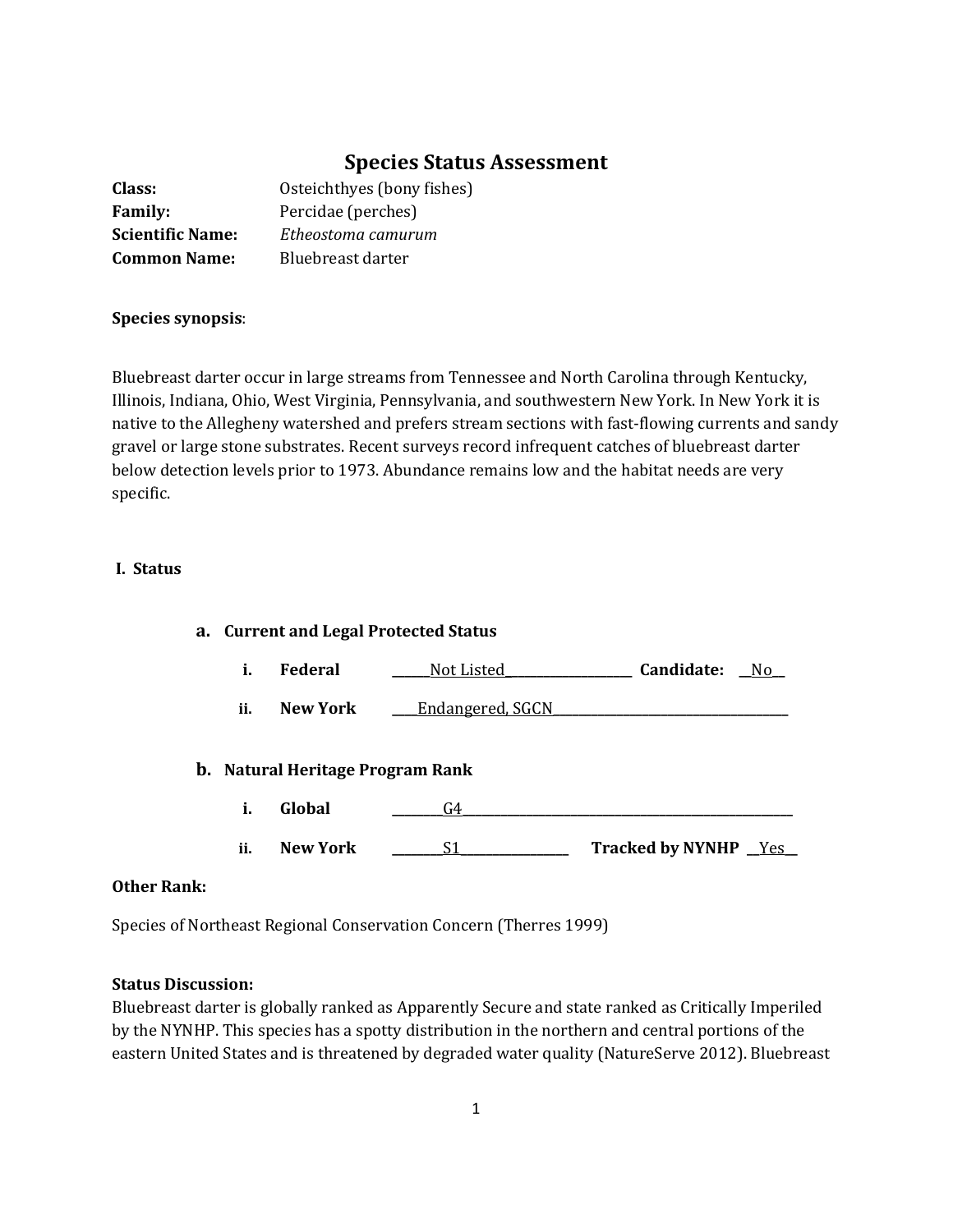# **Species Status Assessment**

| Class:                  | Osteichthyes (bony fishes) |
|-------------------------|----------------------------|
| <b>Family:</b>          | Percidae (perches)         |
| <b>Scientific Name:</b> | Etheostoma camurum         |
| <b>Common Name:</b>     | Bluebreast darter          |

## **Species synopsis**:

Bluebreast darter occur in large streams from Tennessee and North Carolina through Kentucky, Illinois, Indiana, Ohio, West Virginia, Pennsylvania, and southwestern New York. In New York it is native to the Allegheny watershed and prefers stream sections with fast-flowing currents and sandy gravel or large stone substrates. Recent surveys record infrequent catches of bluebreast darter below detection levels prior to 1973. Abundance remains low and the habitat needs are very specific.

## **I. Status**

| a. Current and Legal Protected Status |                 |                                         |                       |     |
|---------------------------------------|-----------------|-----------------------------------------|-----------------------|-----|
| i.                                    | Federal         | Not Listed                              | Candidate:            | No. |
| ii.                                   | New York        | <b>Endangered, SGCN</b>                 |                       |     |
|                                       |                 | <b>b.</b> Natural Heritage Program Rank |                       |     |
| i.                                    | Global          | G4                                      |                       |     |
| ii.                                   | <b>New York</b> | S1                                      | Tracked by NYNHP _Yes |     |

# **Other Rank:**

Species of Northeast Regional Conservation Concern (Therres 1999)

# **Status Discussion:**

Bluebreast darter is globally ranked as Apparently Secure and state ranked as Critically Imperiled by the NYNHP. This species has a spotty distribution in the northern and central portions of the eastern United States and is threatened by degraded water quality (NatureServe 2012). Bluebreast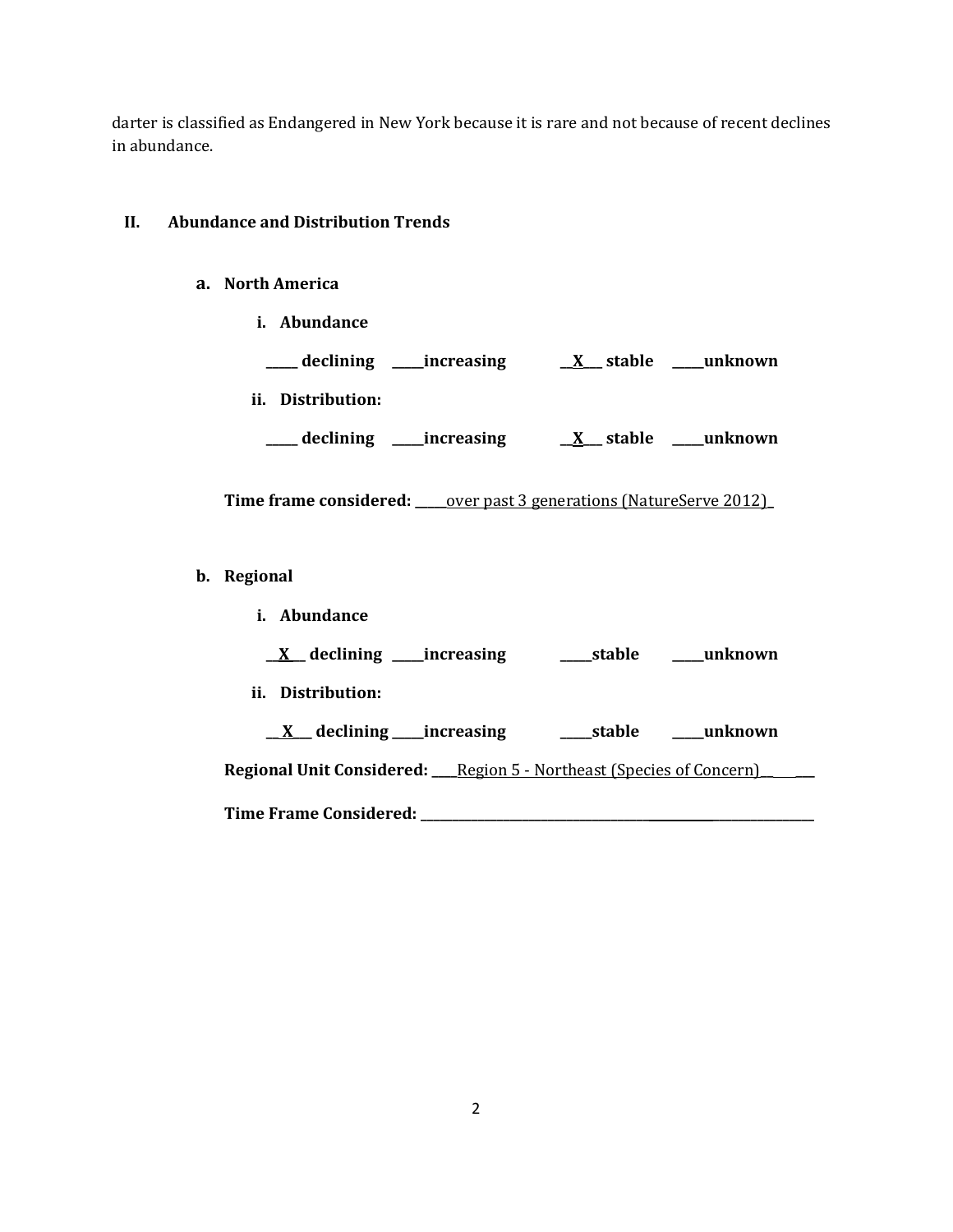darter is classified as Endangered in New York because it is rare and not because of recent declines in abundance.

# **II. Abundance and Distribution Trends**

# **a. North America**

**i. Abundance \_\_\_\_\_ declining \_\_\_\_\_increasing \_\_X\_\_\_ stable \_\_\_\_\_unknown ii. Distribution: \_\_\_\_\_ declining \_\_\_\_\_increasing \_\_X\_\_\_ stable \_\_\_\_\_unknown Time frame considered: \_\_\_\_\_**over past 3 generations (NatureServe 2012)**\_ b. Regional i. Abundance \_\_X \_\_ declining \_\_\_\_\_increasing \_\_\_\_\_stable \_\_\_\_\_unknown ii. Distribution: \_\_ X\_\_\_ declining \_\_\_\_\_increasing \_\_\_\_\_stable \_\_\_\_\_unknown Regional Unit Considered: \_\_\_\_**Region 5 - Northeast (Species of Concern)**\_\_ \_\_\_ Time Frame Considered: \_\_\_\_\_\_\_\_\_\_\_\_\_\_\_\_\_\_\_\_\_\_\_\_\_\_\_\_\_\_\_\_\_\_\_\_ \_\_\_\_\_\_\_\_\_\_\_\_\_\_\_\_**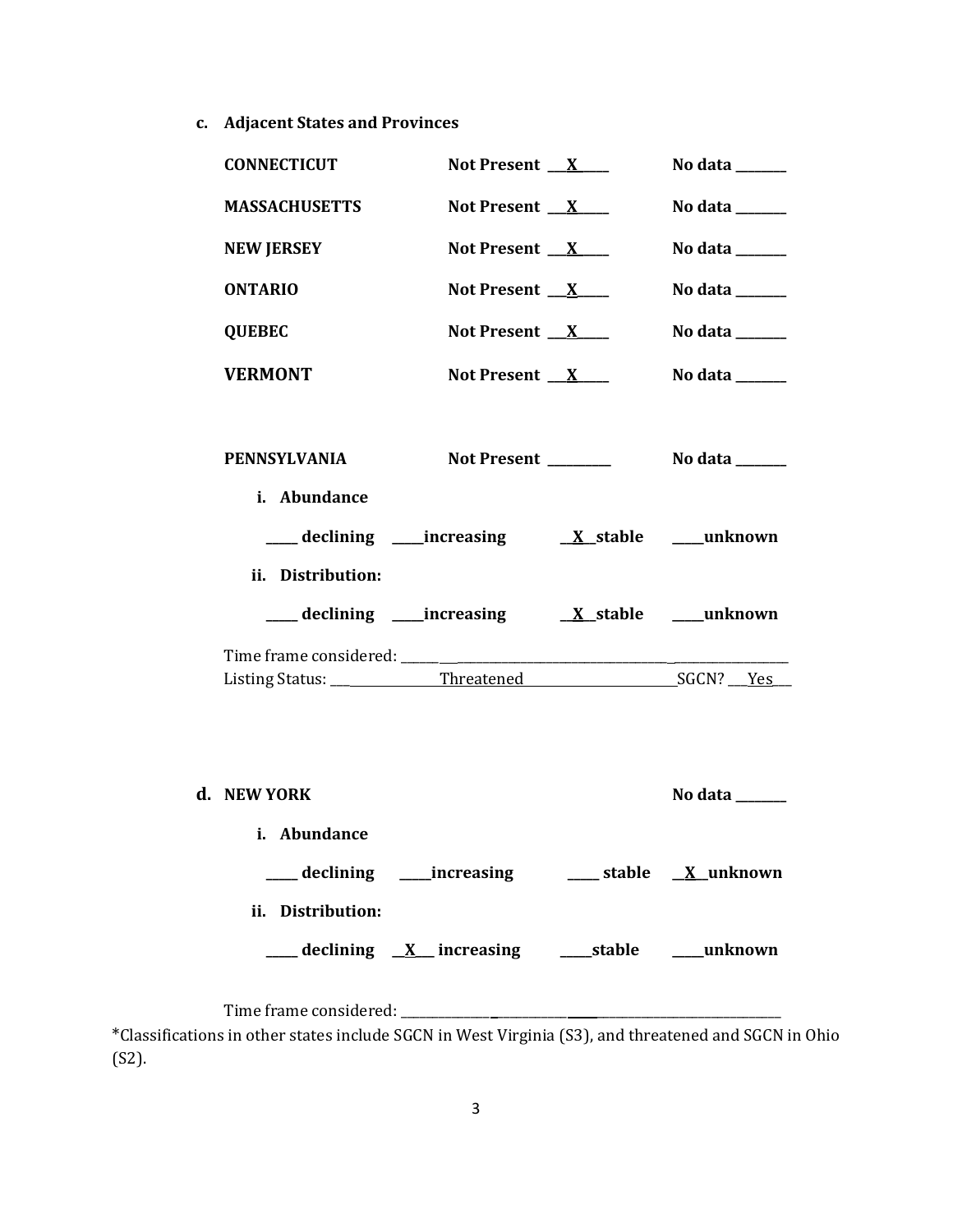**c. Adjacent States and Provinces**

| <b>CONNECTICUT</b>           | Not Present $X$                                                | No data $\_\_\_\_\_\_\_\_\_\_\_\_\_\_\_\_$ |
|------------------------------|----------------------------------------------------------------|--------------------------------------------|
| <b>MASSACHUSETTS</b>         | Not Present $X$                                                | No data $\_\_\_\_\_\_\_\_\_\_\_\_\$        |
| <b>NEW JERSEY</b>            | Not Present $X$                                                | No data $\_\_\_\_\_\_\_\_\_\_\_$           |
| <b>ONTARIO</b>               | Not Present $X$                                                | No data $\_\_\_\_\_\_\_\_\_\_\_\$          |
| <b>QUEBEC</b>                | Not Present X                                                  | No data ______                             |
| <b>VERMONT</b>               | Not Present $X$                                                | No data $\_\_\_\_\_\_\_\_\_\_\_\_\$        |
| PENNSYLVANIA<br>i. Abundance | Not Present ________                                           | No data _______                            |
| ii. Distribution:            | ___ declining ____increasing ____ <u>X_</u> stable ____unknown |                                            |
|                              |                                                                |                                            |
|                              |                                                                |                                            |
| d. NEW YORK<br>i. Abundance  |                                                                | No data                                    |
|                              | ___ declining ____increasing _____ stable __ X_unknown         |                                            |
| ii. Distribution:            | ___ declining <u>X</u> increasing ___ stable ___ unknown       |                                            |
|                              |                                                                |                                            |

\*Classifications in other states include SGCN in West Virginia (S3), and threatened and SGCN in Ohio (S2).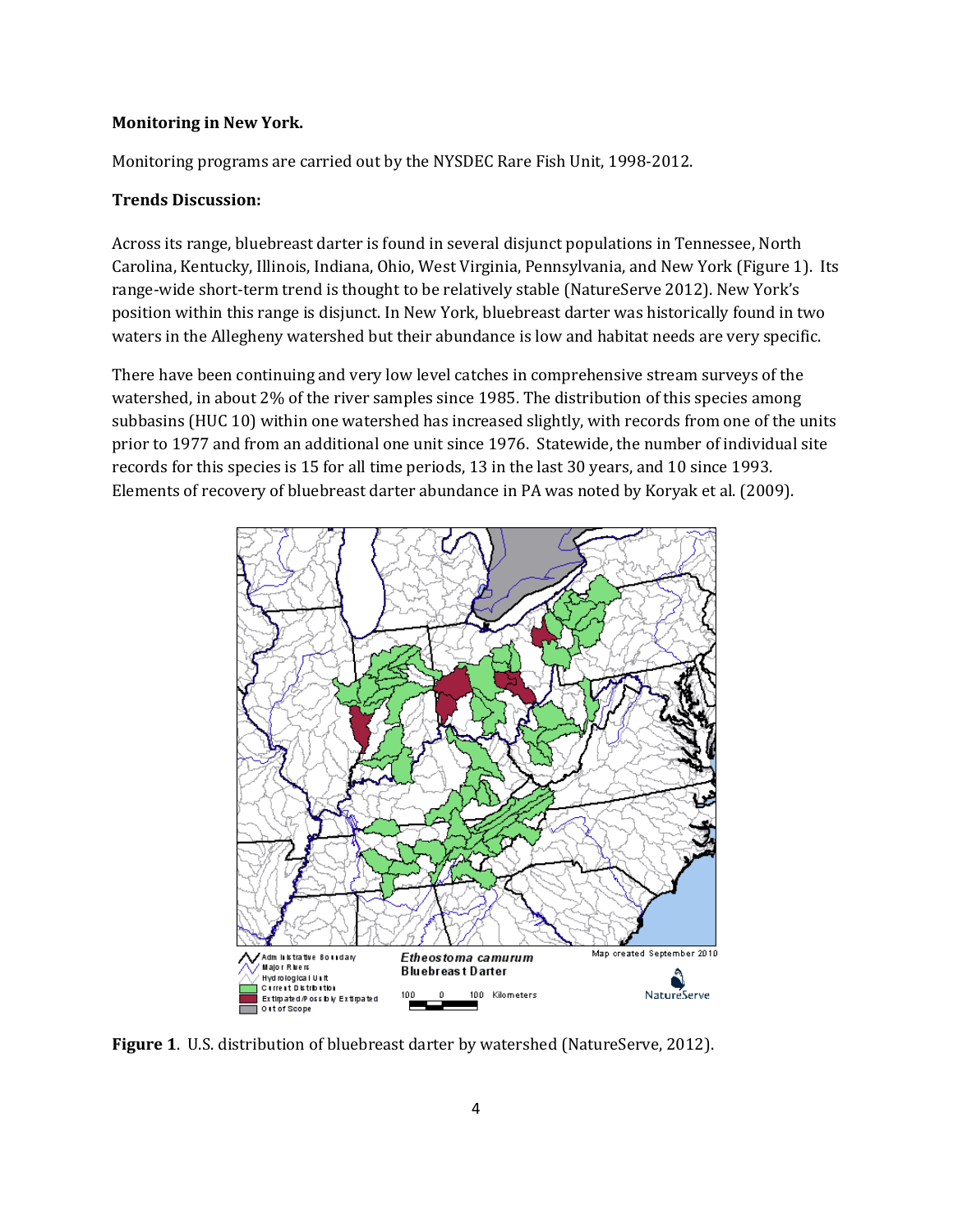#### **Monitoring in New York.**

Monitoring programs are carried out by the NYSDEC Rare Fish Unit, 1998-2012.

### **Trends Discussion:**

Across its range, bluebreast darter is found in several disjunct populations in Tennessee, North Carolina, Kentucky, Illinois, Indiana, Ohio, West Virginia, Pennsylvania, and New York (Figure 1). Its range-wide short-term trend is thought to be relatively stable (NatureServe 2012). New York's position within this range is disjunct. In New York, bluebreast darter was historically found in two waters in the Allegheny watershed but their abundance is low and habitat needs are very specific.

There have been continuing and very low level catches in comprehensive stream surveys of the watershed, in about 2% of the river samples since 1985. The distribution of this species among subbasins (HUC 10) within one watershed has increased slightly, with records from one of the units prior to 1977 and from an additional one unit since 1976. Statewide, the number of individual site records for this species is 15 for all time periods, 13 in the last 30 years, and 10 since 1993. Elements of recovery of bluebreast darter abundance in PA was noted by Koryak et al. (2009).



**Figure 1**. U.S. distribution of bluebreast darter by watershed (NatureServe, 2012).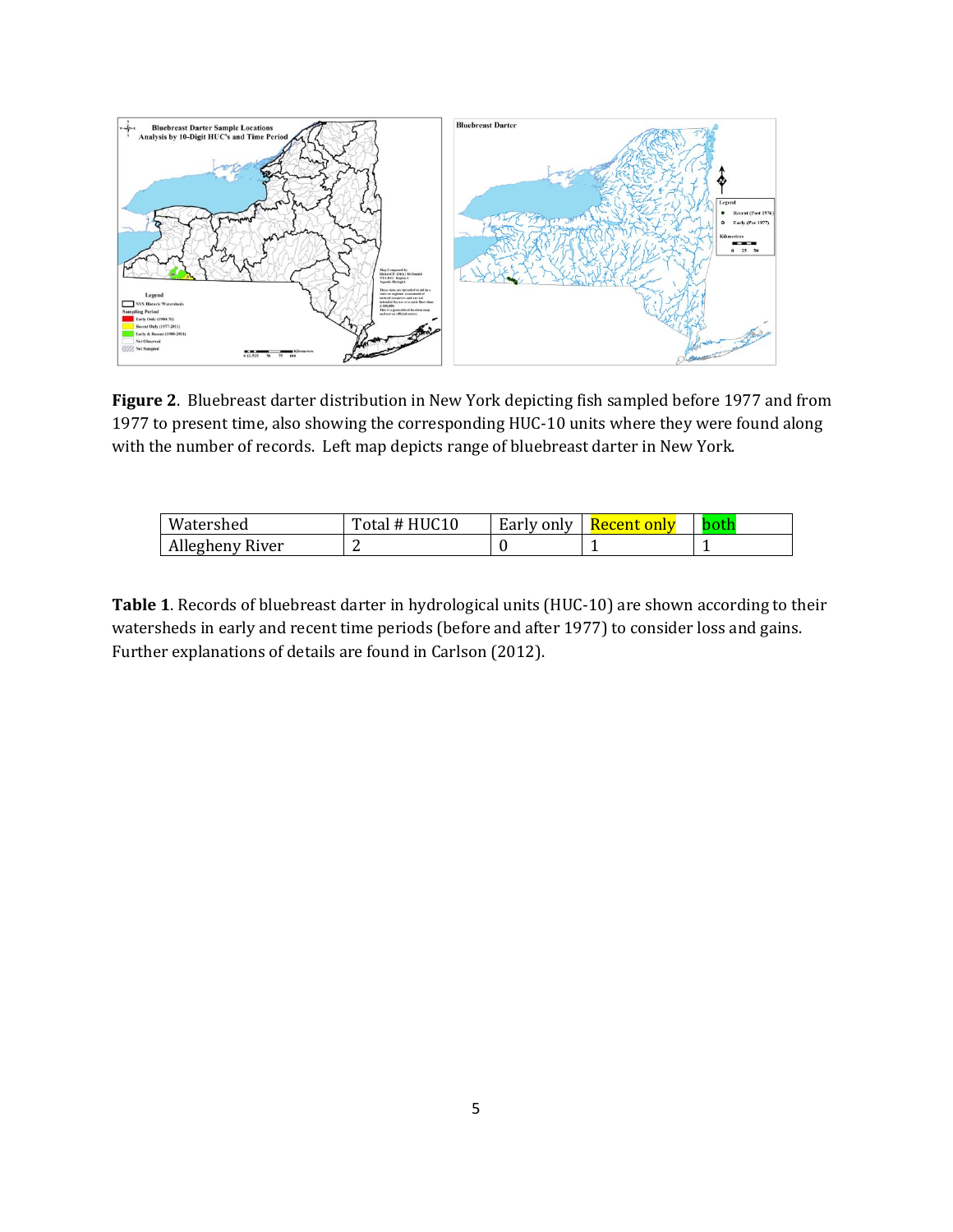

**Figure 2**. Bluebreast darter distribution in New York depicting fish sampled before 1977 and from 1977 to present time, also showing the corresponding HUC-10 units where they were found along with the number of records. Left map depicts range of bluebreast darter in New York.

| Watershed       | ['otal # HUC10 | Early only | <u>Recent only</u> |  |
|-----------------|----------------|------------|--------------------|--|
| Allegheny River |                |            |                    |  |

**Table 1**. Records of bluebreast darter in hydrological units (HUC-10) are shown according to their watersheds in early and recent time periods (before and after 1977) to consider loss and gains. Further explanations of details are found in Carlson (2012).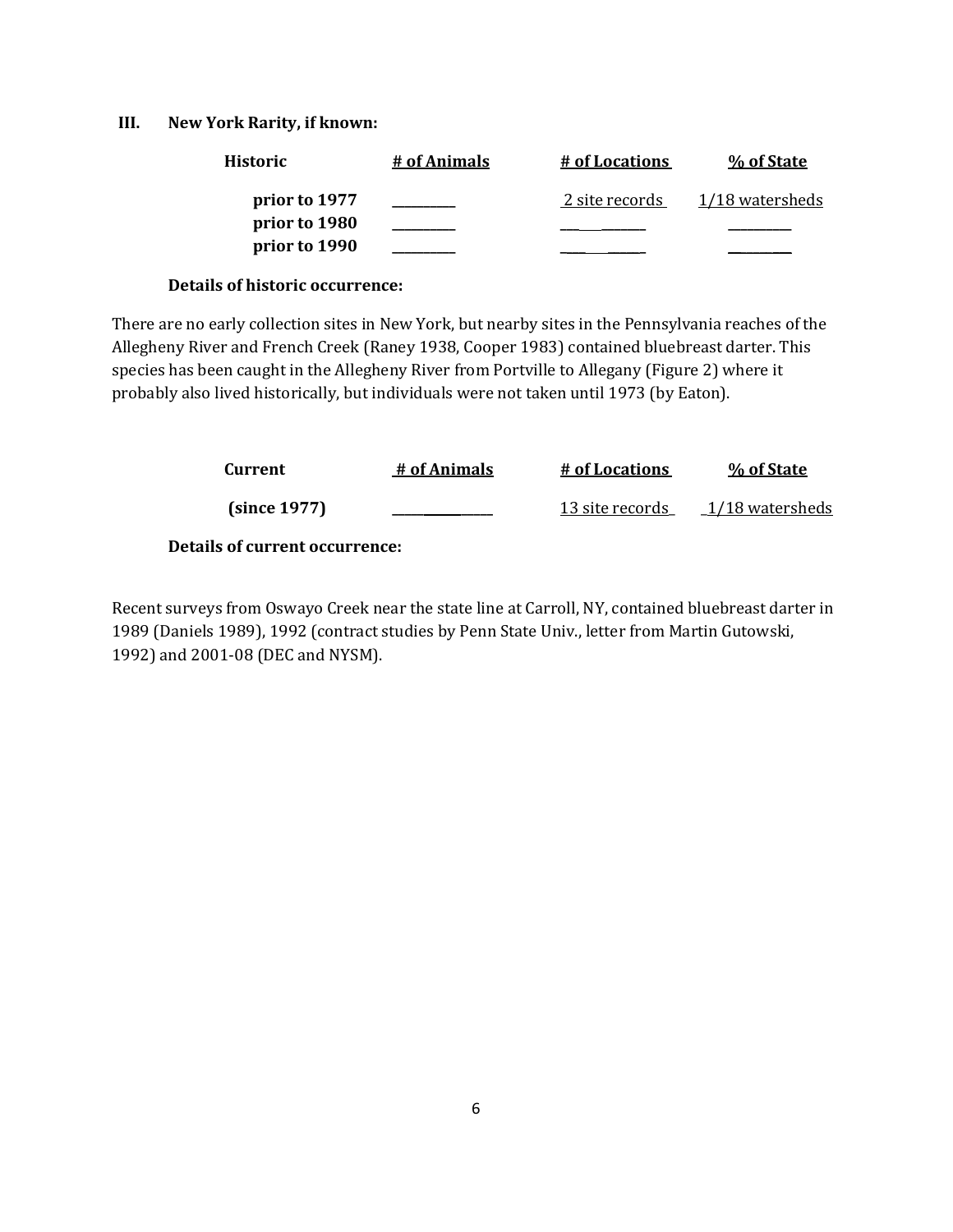### **III. New York Rarity, if known:**

| <b>Historic</b> | # of Animals | # of Locations | % of State      |
|-----------------|--------------|----------------|-----------------|
| prior to 1977   |              | 2 site records | 1/18 watersheds |
| prior to 1980   |              |                |                 |
| prior to 1990   |              |                |                 |

### **Details of historic occurrence:**

There are no early collection sites in New York, but nearby sites in the Pennsylvania reaches of the Allegheny River and French Creek (Raney 1938, Cooper 1983) contained bluebreast darter. This species has been caught in the Allegheny River from Portville to Allegany (Figure 2) where it probably also lived historically, but individuals were not taken until 1973 (by Eaton).

| Current      | # of Animals | # of Locations  | % of State        |
|--------------|--------------|-----------------|-------------------|
| (since 1977) |              | 13 site records | $1/18$ watersheds |
|              |              |                 |                   |

**Details of current occurrence:**

Recent surveys from Oswayo Creek near the state line at Carroll, NY, contained bluebreast darter in 1989 (Daniels 1989), 1992 (contract studies by Penn State Univ., letter from Martin Gutowski, 1992) and 2001-08 (DEC and NYSM).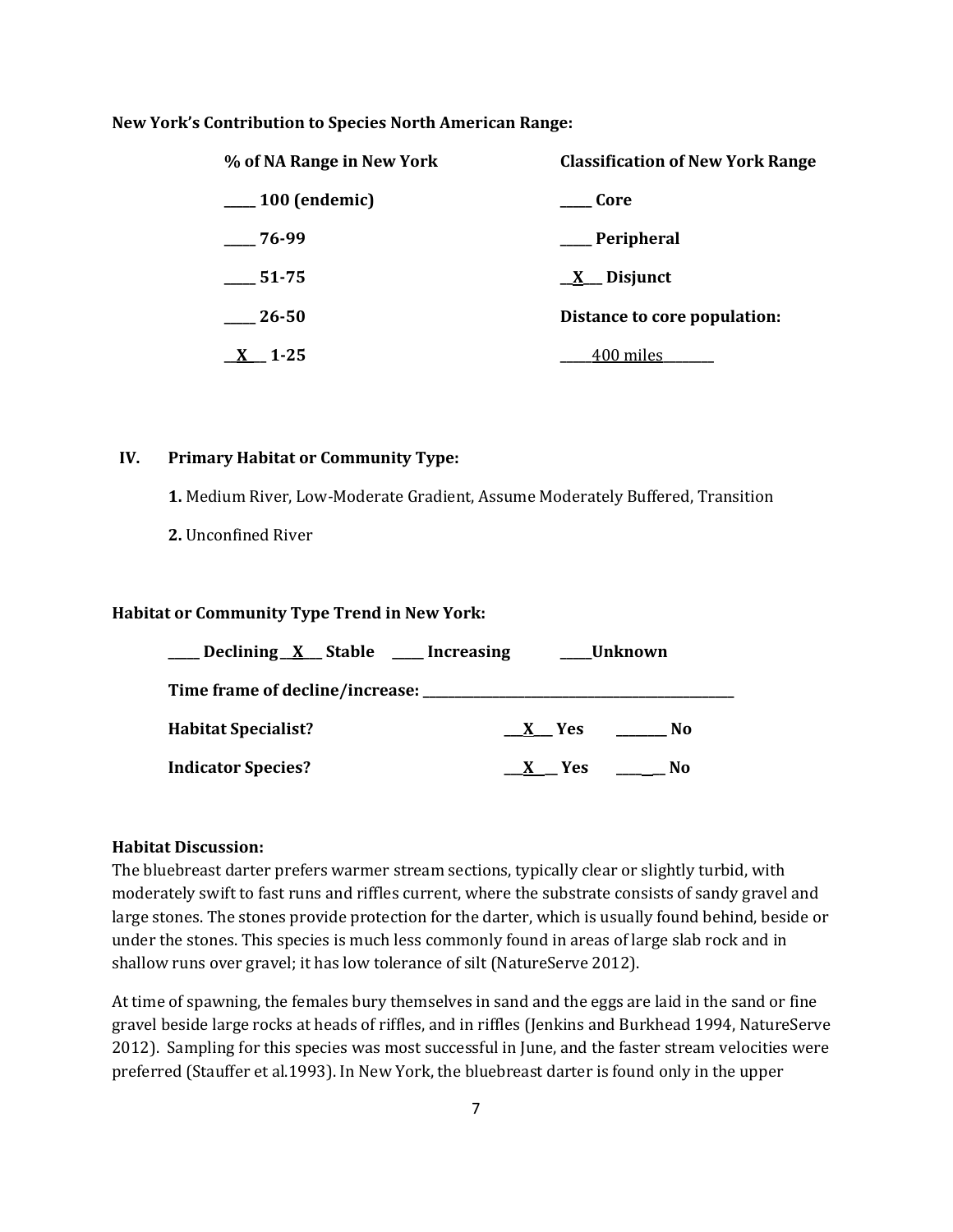#### **New York's Contribution to Species North American Range:**

| % of NA Range in New York | <b>Classification of New York Range</b> |
|---------------------------|-----------------------------------------|
| <sub>100</sub> (endemic)  | Core                                    |
| $-76-99$                  | ___Peripheral                           |
| 51-75                     | $\underline{X}$ Disjunct                |
| $\_\,$ 26-50              | Distance to core population:            |
| $1 - 25$                  | <sub>-</sub> 400 miles                  |

### **IV. Primary Habitat or Community Type:**

**1.** Medium River, Low-Moderate Gradient, Assume Moderately Buffered, Transition

**2.** Unconfined River

#### **Habitat or Community Type Trend in New York:**

| _Declining X Stable ___ Increasing | Unknown      |
|------------------------------------|--------------|
|                                    |              |
| <b>Habitat Specialist?</b>         | No<br>X Yes  |
| <b>Indicator Species?</b>          | No.<br>X Yes |

### **Habitat Discussion:**

The bluebreast darter prefers warmer stream sections, typically clear or slightly turbid, with moderately swift to fast runs and riffles current, where the substrate consists of sandy gravel and large stones. The stones provide protection for the darter, which is usually found behind, beside or under the stones. This species is much less commonly found in areas of large slab rock and in shallow runs over gravel; it has low tolerance of silt (NatureServe 2012).

At time of spawning, the females bury themselves in sand and the eggs are laid in the sand or fine gravel beside large rocks at heads of riffles, and in riffles (Jenkins and Burkhead 1994, NatureServe 2012). Sampling for this species was most successful in June, and the faster stream velocities were preferred (Stauffer et al.1993). In New York, the bluebreast darter is found only in the upper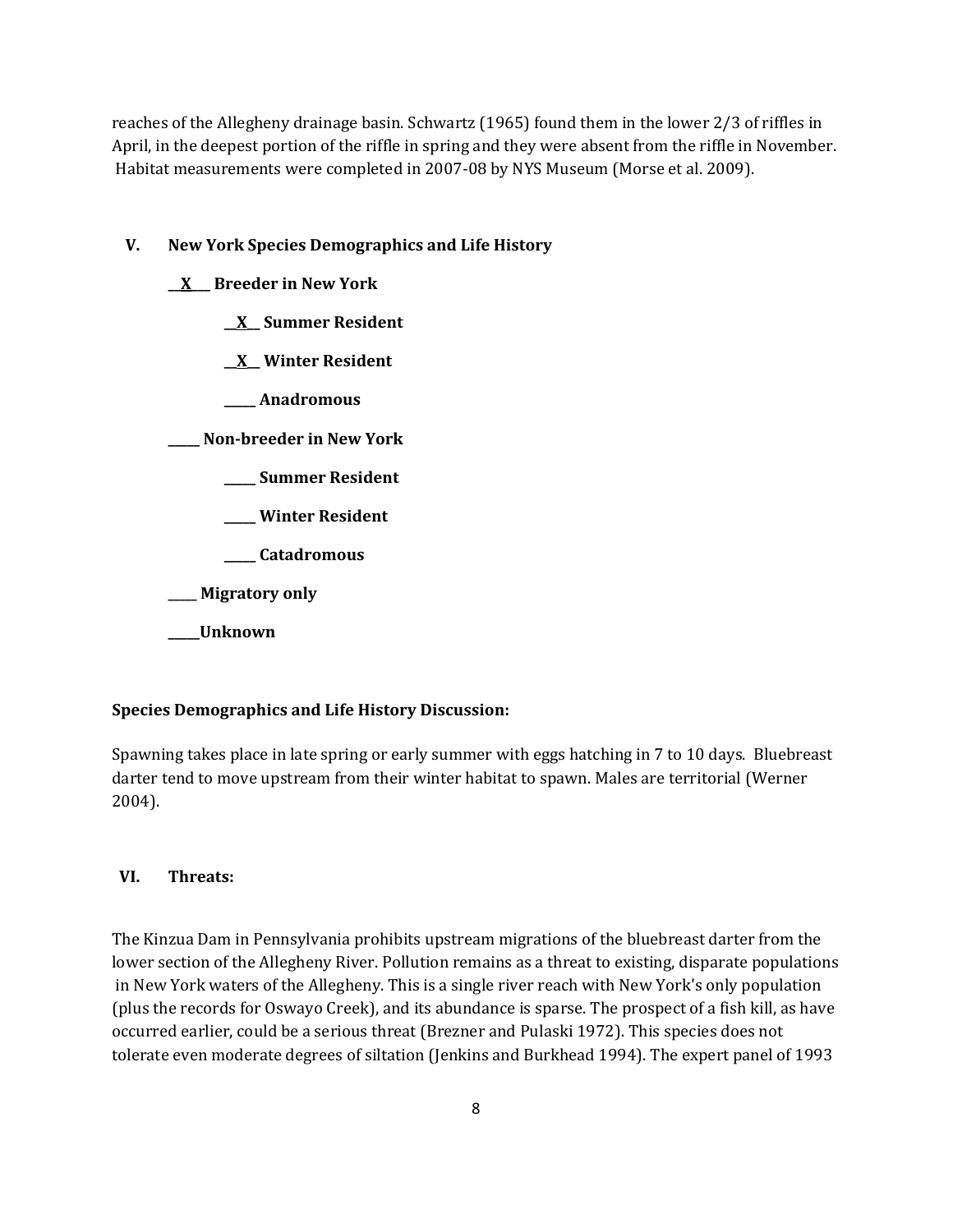reaches of the Allegheny drainage basin. Schwartz (1965) found them in the lower 2/3 of riffles in April, in the deepest portion of the riffle in spring and they were absent from the riffle in November. Habitat measurements were completed in 2007-08 by NYS Museum (Morse et al. 2009).

### **V. New York Species Demographics and Life History**

#### **\_\_X\_\_\_ Breeder in New York**

- **\_\_X\_\_ Summer Resident**
- **\_\_X\_\_ Winter Resident**
- **\_\_\_\_\_ Anadromous**

**\_\_\_\_\_ Non-breeder in New York**

- **\_\_\_\_\_ Summer Resident**
- **\_\_\_\_\_ Winter Resident**
- **\_\_\_\_\_ Catadromous**

**\_\_\_\_\_ Migratory only**

## **\_\_\_\_\_Unknown**

## **Species Demographics and Life History Discussion:**

Spawning takes place in late spring or early summer with eggs hatching in 7 to 10 days. Bluebreast darter tend to move upstream from their winter habitat to spawn. Males are territorial (Werner 2004).

### **VI. Threats:**

The Kinzua Dam in Pennsylvania prohibits upstream migrations of the bluebreast darter from the lower section of the Allegheny River. Pollution remains as a threat to existing, disparate populations in New York waters of the Allegheny. This is a single river reach with New York's only population (plus the records for Oswayo Creek), and its abundance is sparse. The prospect of a fish kill, as have occurred earlier, could be a serious threat (Brezner and Pulaski 1972). This species does not tolerate even moderate degrees of siltation (Jenkins and Burkhead 1994). The expert panel of 1993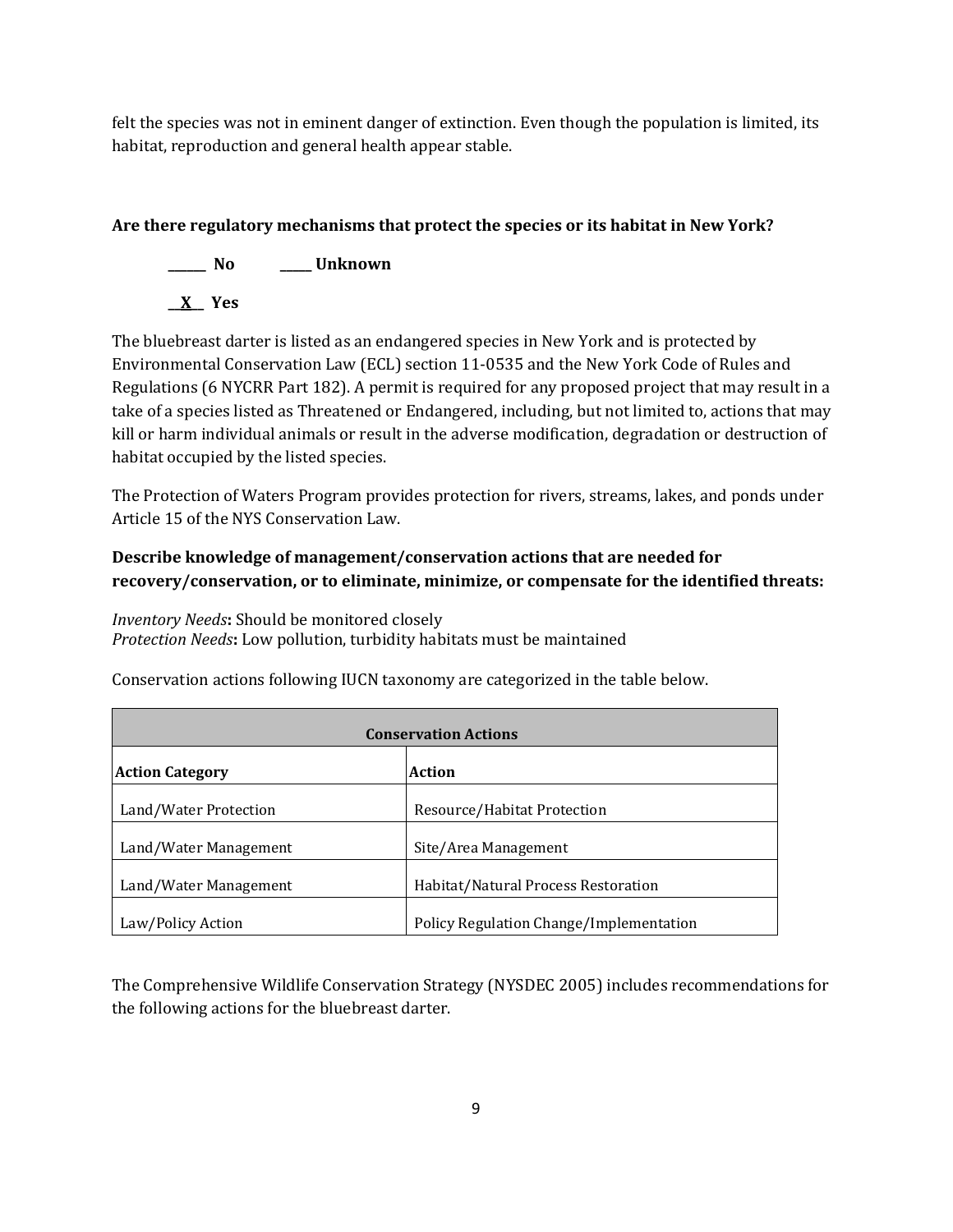felt the species was not in eminent danger of extinction. Even though the population is limited, its habitat, reproduction and general health appear stable.

# **Are there regulatory mechanisms that protect the species or its habitat in New York?**



The bluebreast darter is listed as an endangered species in New York and is protected by Environmental Conservation Law (ECL) section 11-0535 and the New York Code of Rules and Regulations (6 NYCRR Part 182). A permit is required for any proposed project that may result in a take of a species listed as Threatened or Endangered, including, but not limited to, actions that may kill or harm individual animals or result in the adverse modification, degradation or destruction of habitat occupied by the listed species.

The Protection of Waters Program provides protection for rivers, streams, lakes, and ponds under Article 15 of the NYS Conservation Law.

# **Describe knowledge of management/conservation actions that are needed for recovery/conservation, or to eliminate, minimize, or compensate for the identified threats:**

*Inventory Needs***:** Should be monitored closely *Protection Needs***:** Low pollution, turbidity habitats must be maintained

Conservation actions following IUCN taxonomy are categorized in the table below.

| <b>Conservation Actions</b>      |                                         |  |
|----------------------------------|-----------------------------------------|--|
| Action<br><b>Action Category</b> |                                         |  |
| Land/Water Protection            | Resource/Habitat Protection             |  |
| Land/Water Management            | Site/Area Management                    |  |
| Land/Water Management            | Habitat/Natural Process Restoration     |  |
| Law/Policy Action                | Policy Regulation Change/Implementation |  |

The Comprehensive Wildlife Conservation Strategy (NYSDEC 2005) includes recommendations for the following actions for the bluebreast darter.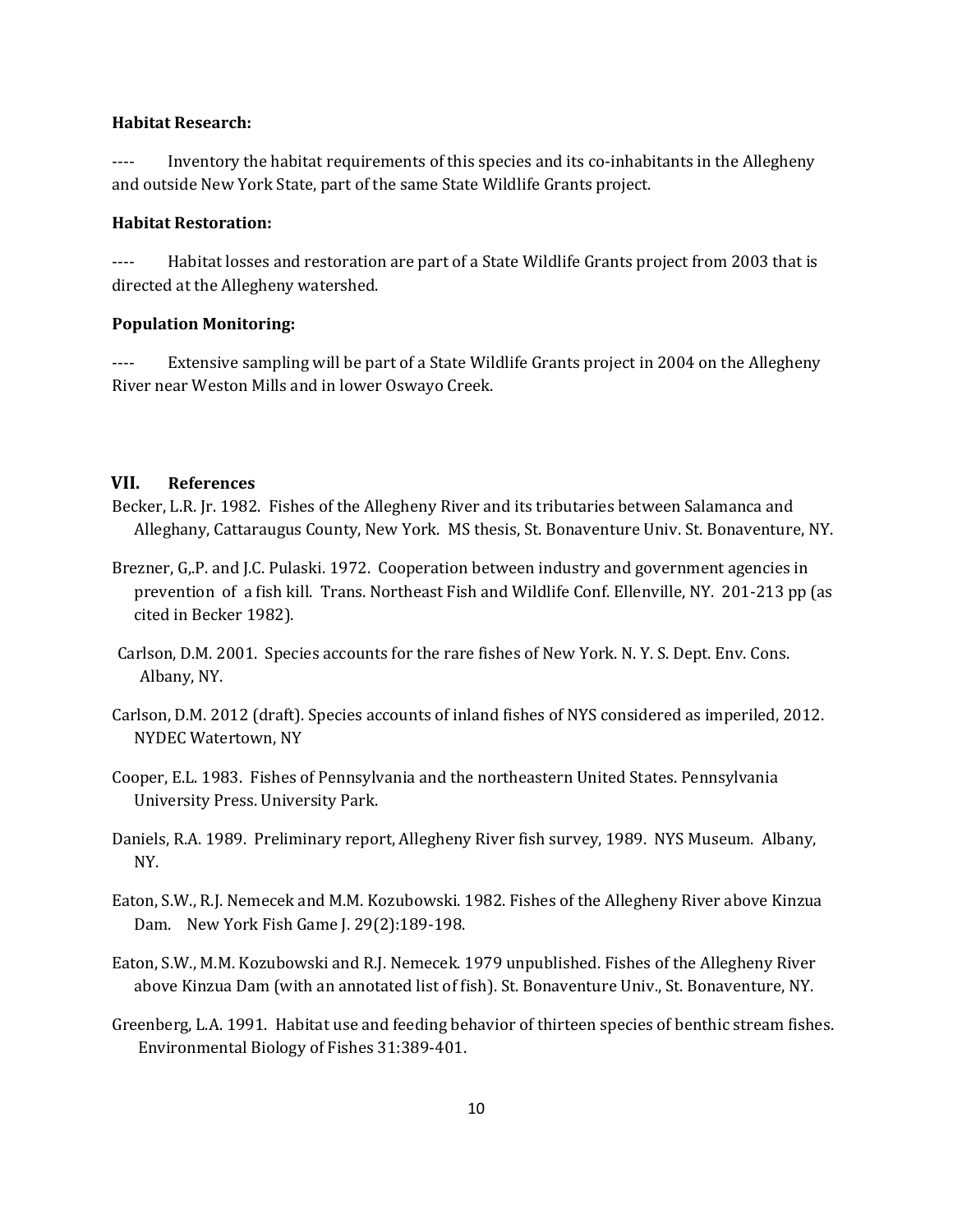#### **Habitat Research:**

---- Inventory the habitat requirements of this species and its co-inhabitants in the Allegheny and outside New York State, part of the same State Wildlife Grants project.

### **Habitat Restoration:**

---- Habitat losses and restoration are part of a State Wildlife Grants project from 2003 that is directed at the Allegheny watershed.

#### **Population Monitoring:**

---- Extensive sampling will be part of a State Wildlife Grants project in 2004 on the Allegheny River near Weston Mills and in lower Oswayo Creek.

## **VII. References**

- Becker, L.R. Jr. 1982. Fishes of the Allegheny River and its tributaries between Salamanca and Alleghany, Cattaraugus County, New York. MS thesis, St. Bonaventure Univ. St. Bonaventure, NY.
- Brezner, G,.P. and J.C. Pulaski. 1972. Cooperation between industry and government agencies in prevention of a fish kill. Trans. Northeast Fish and Wildlife Conf. Ellenville, NY. 201-213 pp (as cited in Becker 1982).
- Carlson, D.M. 2001. Species accounts for the rare fishes of New York. N. Y. S. Dept. Env. Cons. Albany, NY.
- Carlson, D.M. 2012 (draft). Species accounts of inland fishes of NYS considered as imperiled, 2012. NYDEC Watertown, NY
- Cooper, E.L. 1983. Fishes of Pennsylvania and the northeastern United States. Pennsylvania University Press. University Park.
- Daniels, R.A. 1989. Preliminary report, Allegheny River fish survey, 1989. NYS Museum. Albany, NY.
- Eaton, S.W., R.J. Nemecek and M.M. Kozubowski. 1982. Fishes of the Allegheny River above Kinzua Dam. New York Fish Game J. 29(2):189-198.
- Eaton, S.W., M.M. Kozubowski and R.J. Nemecek. 1979 unpublished. Fishes of the Allegheny River above Kinzua Dam (with an annotated list of fish). St. Bonaventure Univ., St. Bonaventure, NY.
- Greenberg, L.A. 1991. Habitat use and feeding behavior of thirteen species of benthic stream fishes. Environmental Biology of Fishes 31:389-401.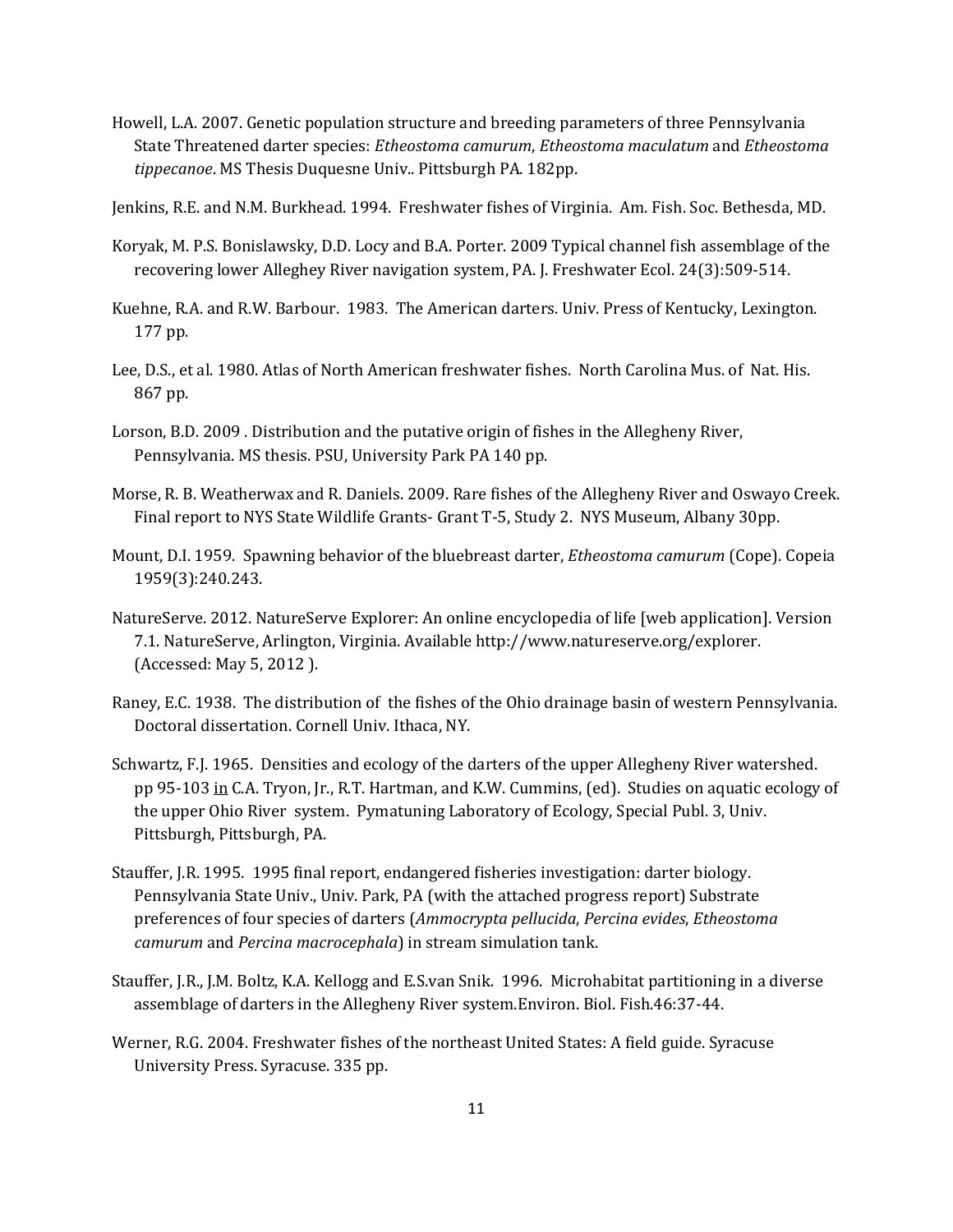- Howell, L.A. 2007. Genetic population structure and breeding parameters of three Pennsylvania State Threatened darter species: *Etheostoma camurum*, *Etheostoma maculatum* and *Etheostoma tippecanoe*. MS Thesis Duquesne Univ.. Pittsburgh PA. 182pp.
- Jenkins, R.E. and N.M. Burkhead. 1994. Freshwater fishes of Virginia. Am. Fish. Soc. Bethesda, MD.
- Koryak, M. P.S. Bonislawsky, D.D. Locy and B.A. Porter. 2009 Typical channel fish assemblage of the recovering lower Alleghey River navigation system, PA. J. Freshwater Ecol. 24(3):509-514.
- Kuehne, R.A. and R.W. Barbour. 1983. The American darters. Univ. Press of Kentucky, Lexington. 177 pp.
- Lee, D.S., et al. 1980. Atlas of North American freshwater fishes. North Carolina Mus. of Nat. His. 867 pp.
- Lorson, B.D. 2009 . Distribution and the putative origin of fishes in the Allegheny River, Pennsylvania. MS thesis. PSU, University Park PA 140 pp.
- Morse, R. B. Weatherwax and R. Daniels. 2009. Rare fishes of the Allegheny River and Oswayo Creek. Final report to NYS State Wildlife Grants- Grant T-5, Study 2. NYS Museum, Albany 30pp.
- Mount, D.I. 1959. Spawning behavior of the bluebreast darter, *Etheostoma camurum* (Cope). Copeia 1959(3):240.243.
- NatureServe. 2012. NatureServe Explorer: An online encyclopedia of life [web application]. Version 7.1. NatureServe, Arlington, Virginia. Available http://www.natureserve.org/explorer. (Accessed: May 5, 2012 ).
- Raney, E.C. 1938. The distribution of the fishes of the Ohio drainage basin of western Pennsylvania. Doctoral dissertation. Cornell Univ. Ithaca, NY.
- Schwartz, F.J. 1965. Densities and ecology of the darters of the upper Allegheny River watershed. pp 95-103 in C.A. Tryon, Jr., R.T. Hartman, and K.W. Cummins, (ed). Studies on aquatic ecology of the upper Ohio River system. Pymatuning Laboratory of Ecology, Special Publ. 3, Univ. Pittsburgh, Pittsburgh, PA.
- Stauffer, J.R. 1995. 1995 final report, endangered fisheries investigation: darter biology. Pennsylvania State Univ., Univ. Park, PA (with the attached progress report) Substrate preferences of four species of darters (*Ammocrypta pellucida*, *Percina evides*, *Etheostoma camurum* and *Percina macrocephala*) in stream simulation tank.
- Stauffer, J.R., J.M. Boltz, K.A. Kellogg and E.S.van Snik. 1996. Microhabitat partitioning in a diverse assemblage of darters in the Allegheny River system.Environ. Biol. Fish.46:37-44.
- Werner, R.G. 2004. Freshwater fishes of the northeast United States: A field guide. Syracuse University Press. Syracuse. 335 pp.